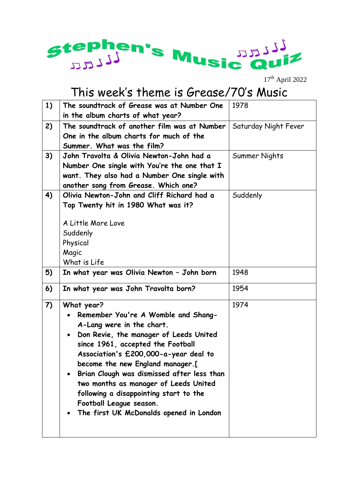

17th April 2022

## This week's theme is Grease/70's Music

| 1) | The soundtrack of Grease was at Number One          | 1978                 |
|----|-----------------------------------------------------|----------------------|
|    | in the album charts of what year?                   |                      |
| 2) | The soundtrack of another film was at Number        | Saturday Night Fever |
|    | One in the album charts for much of the             |                      |
|    | Summer. What was the film?                          |                      |
| 3) | John Travolta & Olivia Newton-John had a            | Summer Nights        |
|    | Number One single with You're the one that I        |                      |
|    | want. They also had a Number One single with        |                      |
|    | another song from Grease. Which one?                |                      |
| 4) | Olivia Newton-John and Cliff Richard had a          | Suddenly             |
|    | Top Twenty hit in 1980 What was it?                 |                      |
|    |                                                     |                      |
|    | A Little More Love                                  |                      |
|    | Suddenly                                            |                      |
|    | Physical                                            |                      |
|    | Magic                                               |                      |
|    | What is Life                                        |                      |
| 5) | In what year was Olivia Newton - John born          | 1948                 |
| 6) | In what year was John Travolta born?                | 1954                 |
| 7) | What year?                                          | 1974                 |
|    | Remember You're A Womble and Shang-                 |                      |
|    | A-Lang were in the chart.                           |                      |
|    | Don Revie, the manager of Leeds United<br>$\bullet$ |                      |
|    | since 1961, accepted the Football                   |                      |
|    | Association's £200,000-a-year deal to               |                      |
|    | become the new England manager.[                    |                      |
|    | Brian Clough was dismissed after less than          |                      |
|    | two months as manager of Leeds United               |                      |
|    | following a disappointing start to the              |                      |
|    | Football League season.                             |                      |
|    | The first UK McDonalds opened in London             |                      |
|    |                                                     |                      |
|    |                                                     |                      |